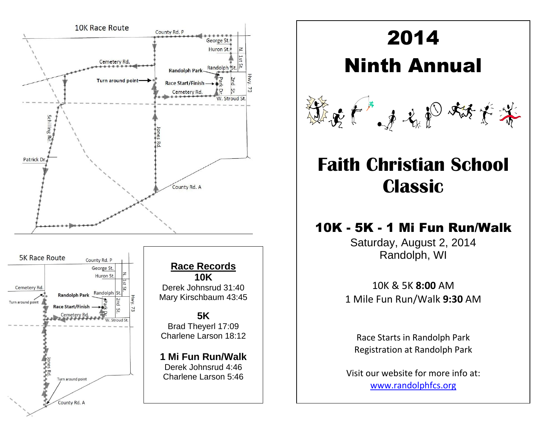

Hwy.

# 2014

Ninth Annual



# **Faith Christian School Classic**

## 10K - 5K - 1 Mi Fun Run/Walk

Saturday, August 2, 2014 Randolph, WI

10K & 5K **8:00** AM 1 Mile Fun Run/Walk **9:30** AM

Race Starts in Randolph Park Registration at Randolph Park

Visit our website for more info at: [www.randolphfcs.org](http://www.randolphfcs.org/)